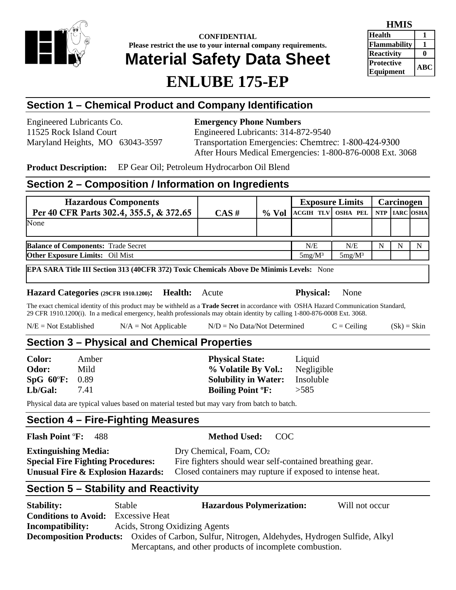

**CONFIDENTIAL Please restrict the use to your internal company requirements.** 

# **Material Safety Data Sheet**

## **ENLUBE 175-EP**

| HMIS                           |           |
|--------------------------------|-----------|
| <b>Health</b>                  |           |
| <b>Flammability</b>            |           |
| <b>Reactivity</b>              |           |
| <b>Protective</b><br>Equipment | $\bf ABC$ |

## **Section 1 – Chemical Product and Company Identification**

Engineered Lubricants Co. **Emergency Phone Numbers** 

11525 Rock Island Court Engineered Lubricants: 314-872-9540 Maryland Heights, MO 63043-3597 Transportation Emergencies: Chemtrec: 1-800-424-9300 After Hours Medical Emergencies: 1-800-876-0008 Ext. 3068

**Product Description:** EP Gear Oil; Petroleum Hydrocarbon Oil Blend

## **Section 2 – Composition / Information on Ingredients**

| <b>Hazardous Components</b>                |          |           |                                    | <b>Exposure Limits</b> |   | Carcinogen |   |
|--------------------------------------------|----------|-----------|------------------------------------|------------------------|---|------------|---|
| Per 40 CFR Parts 302.4, 355.5, & 372.65    | $CAS \#$ | $\%$ Vol  | ACGIH TLV OSHA PEL NTP   IARC OSHA |                        |   |            |   |
| None                                       |          |           |                                    |                        |   |            |   |
|                                            |          |           |                                    |                        |   |            |   |
| <b>Balance of Components: Trade Secret</b> |          |           | N/E                                | N/E                    | N |            | N |
| <b>Other Exposure Limits:</b> Oil Mist     |          | $5mg/M^3$ | $5mg/M^3$                          |                        |   |            |   |

**EPA SARA Title III Section 313 (40CFR 372) Toxic Chemicals Above De Minimis Levels:** None

**Hazard Categories (29CFR 1910.1200): Health:** Acute **Physical:** None

The exact chemical identity of this product may be withheld as a **Trade Secret** in accordance with OSHA Hazard Communication Standard, 29 CFR 1910.1200(i). In a medical emergency, health professionals may obtain identity by calling 1-800-876-0008 Ext. 3068.

| $N/E = Not Established$ | $N/A = Not Applicable$ | $N/D = No Data/Not Determine$ | $C = Ceiling$ | $(Sk) = Skin$ |
|-------------------------|------------------------|-------------------------------|---------------|---------------|
|-------------------------|------------------------|-------------------------------|---------------|---------------|

#### **Section 3 – Physical and Chemical Properties**

| <b>Color:</b>  | Amber | <b>Physical State:</b>              | Liquid     |
|----------------|-------|-------------------------------------|------------|
| Odor:          | Mild  | % Volatile By Vol.:                 | Negligible |
| SpG 60°F: 0.89 |       | <b>Solubility in Water:</b>         | Insoluble  |
| Lb/Gal:        | 7.41  | <b>Boiling Point <sup>o</sup>F:</b> | >585       |

Physical data are typical values based on material tested but may vary from batch to batch.

## **Section 4 – Fire-Fighting Measures**

**Flash Point** º**F:** 488 **Method Used:** COC

| <b>Extinguishing Media:</b>              | Dry Chemical, Foam, CO <sub>2</sub>                       |
|------------------------------------------|-----------------------------------------------------------|
| <b>Special Fire Fighting Procedures:</b> | Fire fighters should wear self-contained breathing gear.  |
| Unusual Fire & Explosion Hazards:        | Closed containers may rupture if exposed to intense heat. |

## **Section 5 – Stability and Reactivity**

| <b>Stability:</b>                                                                                     | Stable                         | <b>Hazardous Polymerization:</b>                         | Will not occur |
|-------------------------------------------------------------------------------------------------------|--------------------------------|----------------------------------------------------------|----------------|
| <b>Conditions to Avoid:</b>                                                                           | <b>Excessive Heat</b>          |                                                          |                |
| <b>Incompatibility:</b>                                                                               | Acids, Strong Oxidizing Agents |                                                          |                |
| <b>Decomposition Products:</b> Oxides of Carbon, Sulfur, Nitrogen, Aldehydes, Hydrogen Sulfide, Alkyl |                                |                                                          |                |
|                                                                                                       |                                | Mercaptans, and other products of incomplete combustion. |                |